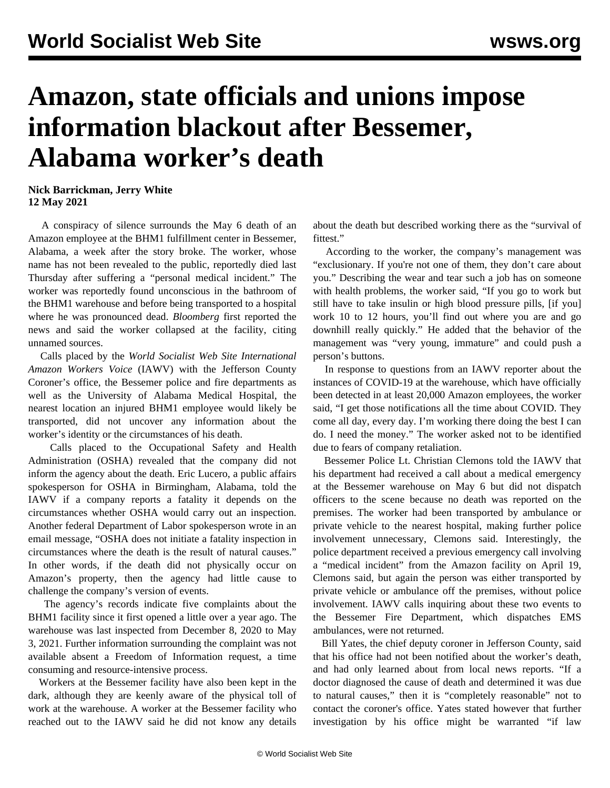## **Amazon, state officials and unions impose information blackout after Bessemer, Alabama worker's death**

**Nick Barrickman, Jerry White 12 May 2021**

 A conspiracy of silence surrounds the May 6 [death of an](/en/articles/2021/05/10/bess-m10.html) [Amazon employee](/en/articles/2021/05/10/bess-m10.html) at the BHM1 fulfillment center in Bessemer, Alabama, a week after the story broke. The worker, whose name has not been revealed to the public, reportedly died last Thursday after suffering a "personal medical incident." The worker was reportedly found unconscious in the bathroom of the BHM1 warehouse and before being transported to a hospital where he was pronounced dead. *Bloomberg* first reported the news and said the worker collapsed at the facility, citing unnamed sources.

 Calls placed by the *World Socialist Web Site International Amazon Workers Voice* (IAWV) with the Jefferson County Coroner's office, the Bessemer police and fire departments as well as the University of Alabama Medical Hospital, the nearest location an injured BHM1 employee would likely be transported, did not uncover any information about the worker's identity or the circumstances of his death.

 Calls placed to the Occupational Safety and Health Administration (OSHA) revealed that the company did not inform the agency about the death. Eric Lucero, a public affairs spokesperson for OSHA in Birmingham, Alabama, told the IAWV if a company reports a fatality it depends on the circumstances whether OSHA would carry out an inspection. Another federal Department of Labor spokesperson wrote in an email message, "OSHA does not initiate a fatality inspection in circumstances where the death is the result of natural causes." In other words, if the death did not physically occur on Amazon's property, then the agency had little cause to challenge the company's version of events.

 The agency's records indicate five complaints about the BHM1 facility since it first opened a little over a year ago. The warehouse was last inspected from December 8, 2020 to May 3, 2021. Further information surrounding the complaint was not available absent a Freedom of Information request, a time consuming and resource-intensive process.

 Workers at the Bessemer facility have also been kept in the dark, although they are keenly aware of the physical toll of work at the warehouse. A worker at the Bessemer facility who reached out to the IAWV said he did not know any details about the death but described working there as the "survival of fittest<sup>"</sup>

 According to the worker, the company's management was "exclusionary. If you're not one of them, they don't care about you." Describing the wear and tear such a job has on someone with health problems, the worker said, "If you go to work but still have to take insulin or high blood pressure pills, [if you] work 10 to 12 hours, you'll find out where you are and go downhill really quickly." He added that the behavior of the management was "very young, immature" and could push a person's buttons.

 In response to questions from an IAWV reporter about the instances of COVID-19 at the warehouse, which have officially been detected in at least 20,000 Amazon employees, the worker said, "I get those notifications all the time about COVID. They come all day, every day. I'm working there doing the best I can do. I need the money." The worker asked not to be identified due to fears of company retaliation.

 Bessemer Police Lt. Christian Clemons told the IAWV that his department had received a call about a medical emergency at the Bessemer warehouse on May 6 but did not dispatch officers to the scene because no death was reported on the premises. The worker had been transported by ambulance or private vehicle to the nearest hospital, making further police involvement unnecessary, Clemons said. Interestingly, the police department received a previous emergency call involving a "medical incident" from the Amazon facility on April 19, Clemons said, but again the person was either transported by private vehicle or ambulance off the premises, without police involvement. IAWV calls inquiring about these two events to the Bessemer Fire Department, which dispatches EMS ambulances, were not returned.

 Bill Yates, the chief deputy coroner in Jefferson County, said that his office had not been notified about the worker's death, and had only learned about from local news reports. "If a doctor diagnosed the cause of death and determined it was due to natural causes," then it is "completely reasonable" not to contact the coroner's office. Yates stated however that further investigation by his office might be warranted "if law